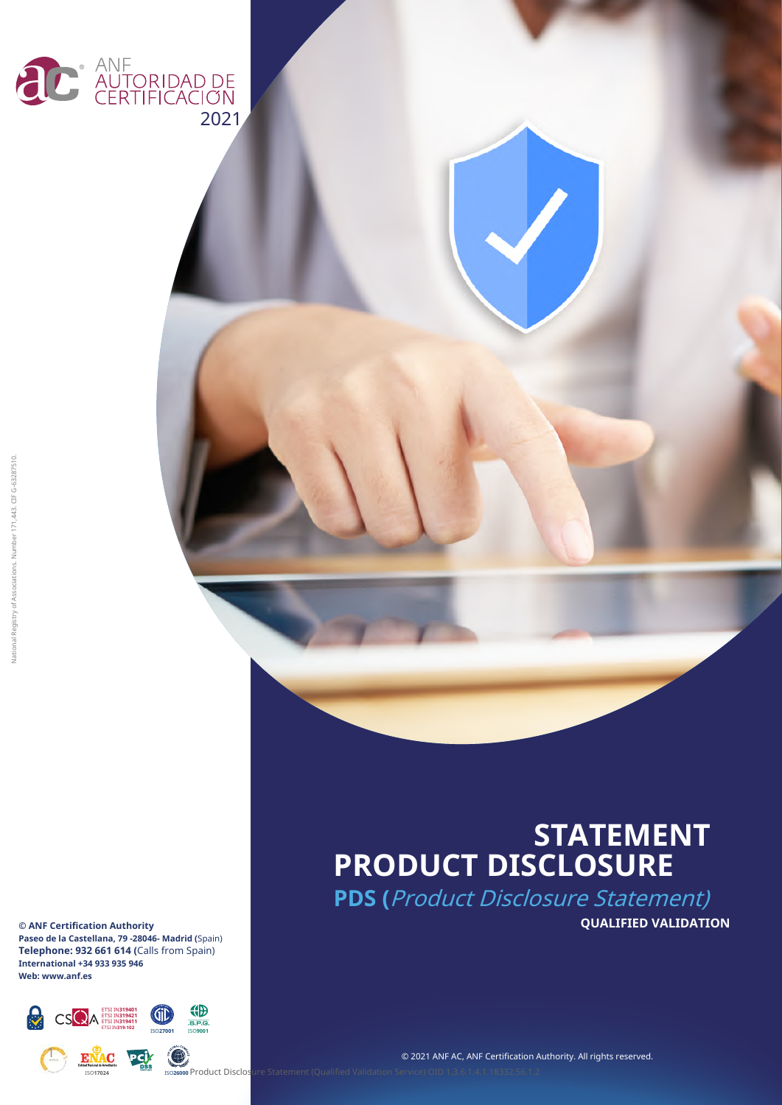

**STATEMENT PRODUCT DISCLOSURE**

**PDS (**Product Disclosure Statement) **QUALIFIED VALIDATION**

**© ANF Certification Authority Paseo de la Castellana, 79 -28046- Madrid (**Spain) **Telephone: 932 661 614 (**Calls from Spain) **International +34 933 935 946 Web: www.anf.es**



1 © 2021 ANF AC, ANF Certification Authority. All rights reserved.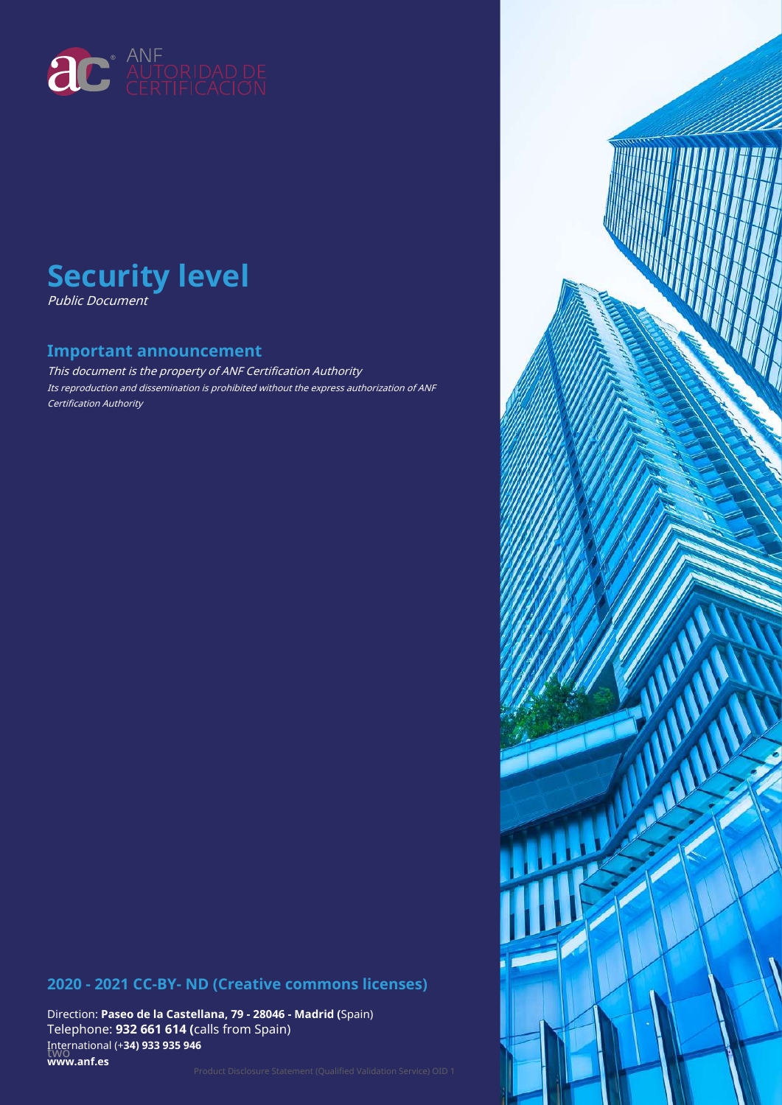



#### **Important announcement**

This document is the property of ANF Certification Authority Its reproduction and dissemination is prohibited without the express authorization of ANF Certification Authority

#### **2020 - 2021 CC-BY- ND (Creative commons licenses)**

Direction: **Paseo de la Castellana, 79 - 28046 - Madrid (**Spain) Telephone: **932 661 614 (**calls from Spain) two International (+**34) 933 935 946 www.anf.es**

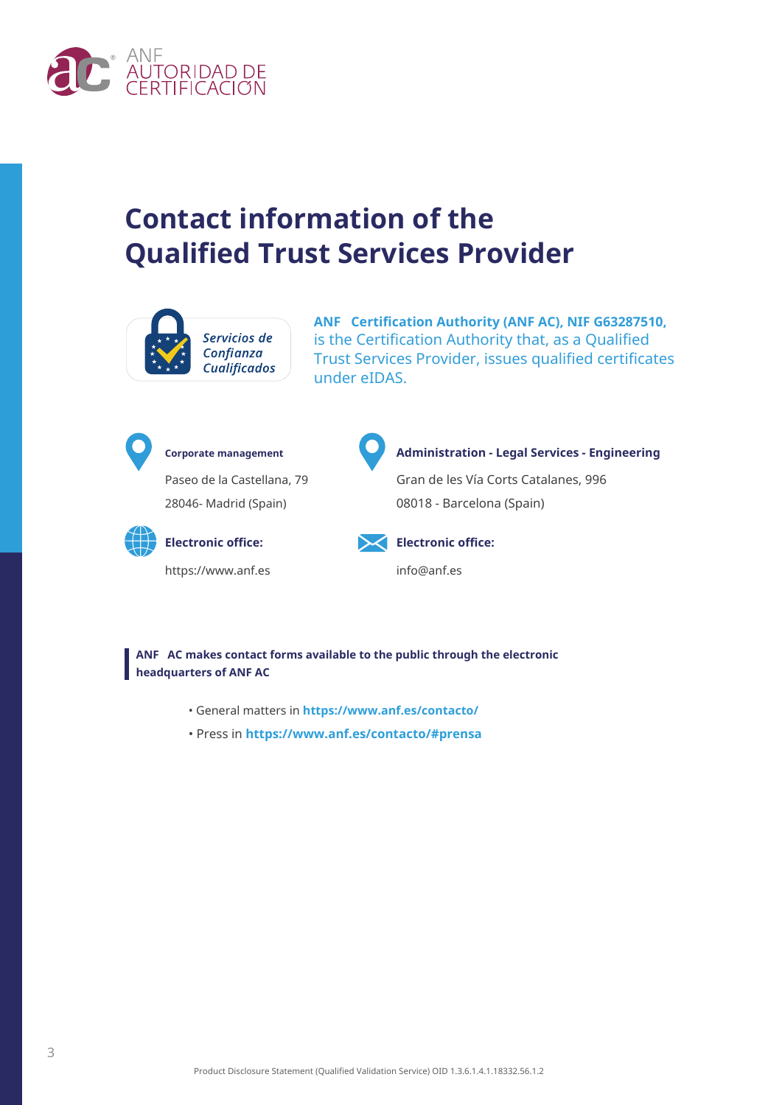

# **Contact information of the Qualified Trust Services Provider**



**ANF Certification Authority (ANF AC), NIF G63287510,** is the Certification Authority that, as a Qualified Trust Services Provider, issues qualified certificates under eIDAS.



Paseo de la Castellana, 79 28046- Madrid (Spain)







**Corporate management Administration - Legal Services - Engineering** 

Gran de les Vía Corts Catalanes, 996 08018 - Barcelona (Spain)



**Electronic office: Electronic office:**

**ANF AC makes contact forms available to the public through the electronic headquarters of ANF AC**

- General matters in **https://www.anf.es/contacto/**
- Press in **https://www.anf.es/contacto/#prensa**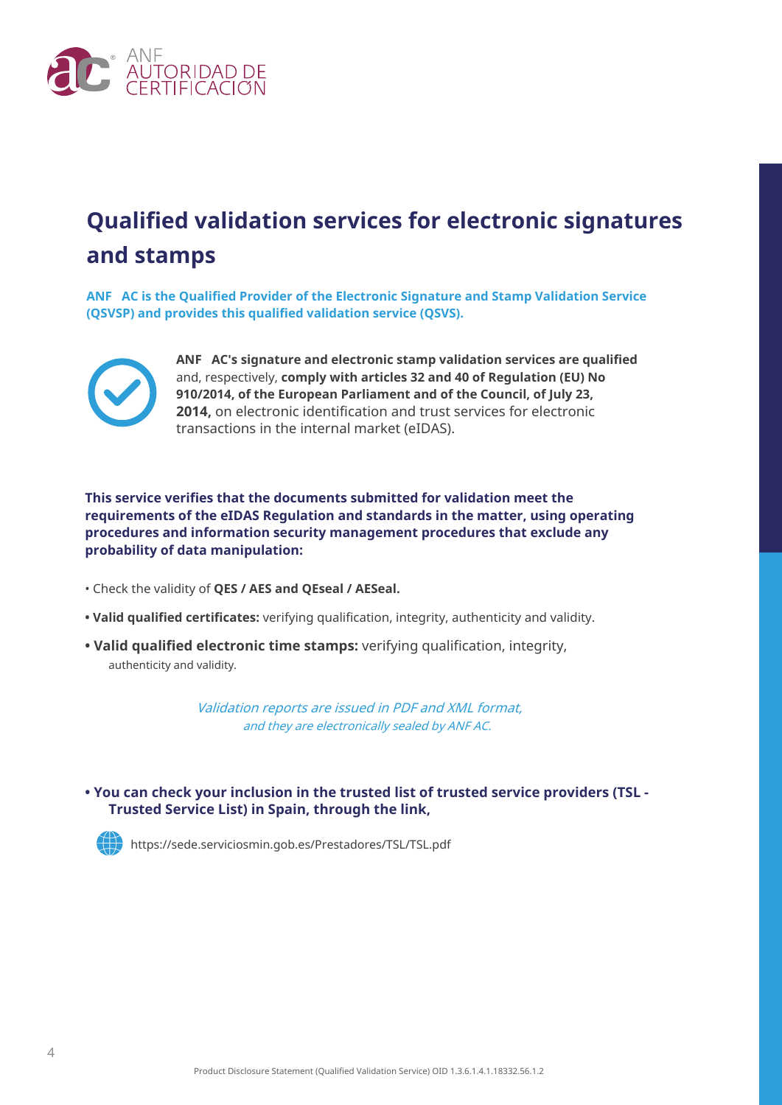

### **Qualified validation services for electronic signatures and stamps**

**ANF AC is the Qualified Provider of the Electronic Signature and Stamp Validation Service (QSVSP) and provides this qualified validation service (QSVS).**



**ANF AC's signature and electronic stamp validation services are qualified**  and, respectively, **comply with articles 32 and 40 of Regulation (EU) No 910/2014, of the European Parliament and of the Council, of July 23, 2014,** on electronic identification and trust services for electronic transactions in the internal market (eIDAS).

**This service verifies that the documents submitted for validation meet the requirements of the eIDAS Regulation and standards in the matter, using operating procedures and information security management procedures that exclude any probability of data manipulation:**

- Check the validity of **QES / AES and QEseal / AESeal.**
- **Valid qualified certificates:** verifying qualification, integrity, authenticity and validity.
- **Valid qualified electronic time stamps:** verifying qualification, integrity, authenticity and validity.

Validation reports are issued in PDF and XML format, and they are electronically sealed by ANF AC.

**• You can check your inclusion in the trusted list of trusted service providers (TSL - Trusted Service List) in Spain, through the link,**



https://sede.serviciosmin.gob.es/Prestadores/TSL/TSL.pdf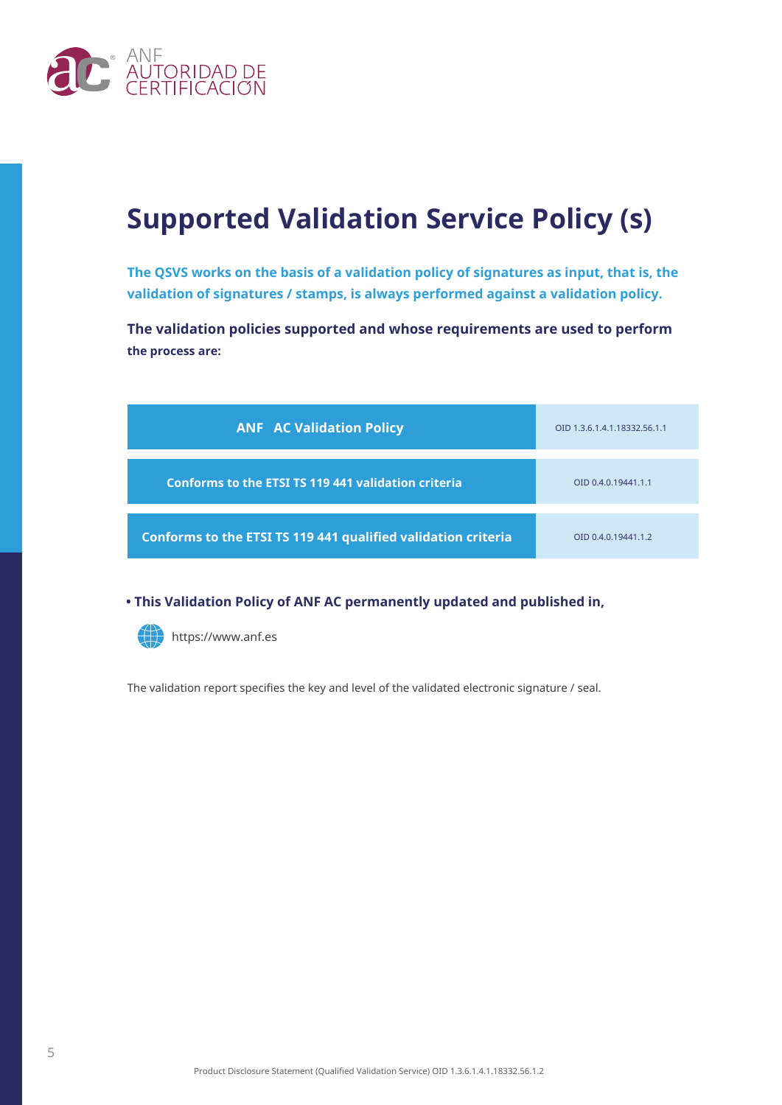

### **Supported Validation Service Policy (s)**

**The QSVS works on the basis of a validation policy of signatures as input, that is, the validation of signatures / stamps, is always performed against a validation policy.**

**The validation policies supported and whose requirements are used to perform the process are:**

| <b>ANF AC Validation Policy</b>                               | OID 1.3.6.1.4.1.18332.56.1.1 |
|---------------------------------------------------------------|------------------------------|
| <b>Conforms to the ETSI TS 119 441 validation criteria</b>    | OID 0.4.0.19441.1.1          |
| Conforms to the ETSI TS 119 441 qualified validation criteria | OID 0.4.0.19441.1.2          |

**• This Validation Policy of ANF AC permanently updated and published in,**



**Ally** https://www.anf.es

The validation report specifies the key and level of the validated electronic signature / seal.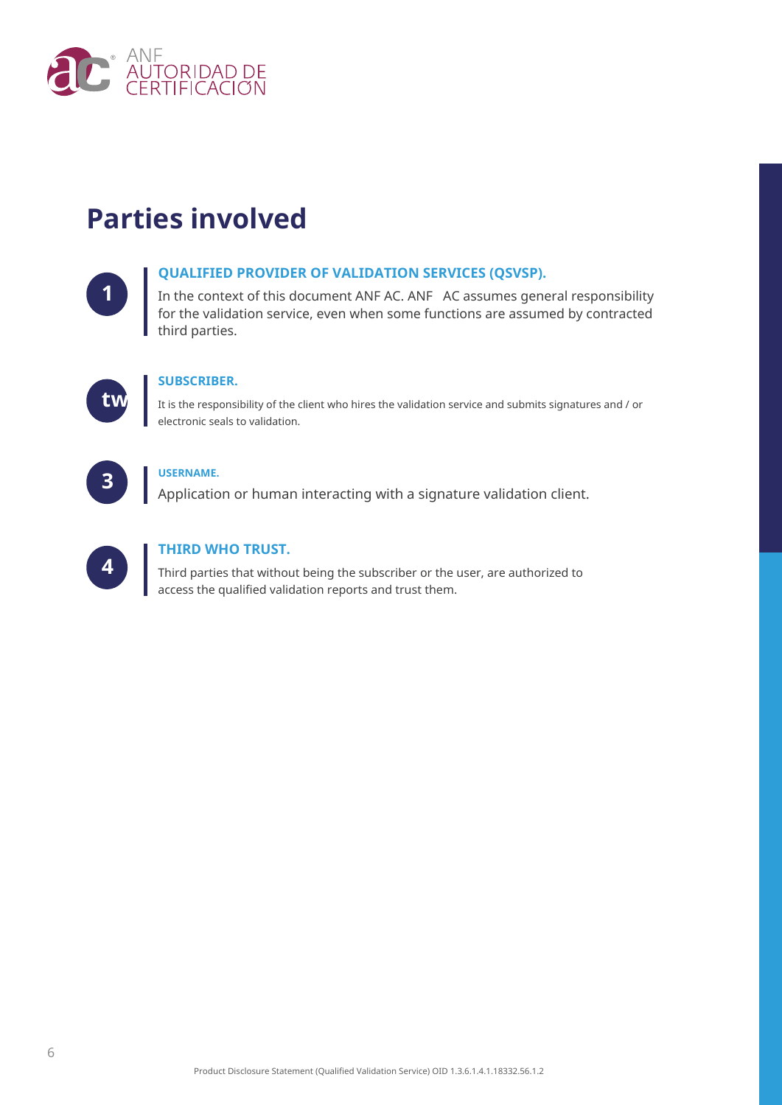

# **Parties involved**



### **QUALIFIED PROVIDER OF VALIDATION SERVICES (QSVSP).**

**1** In the context of this document ANF AC. ANF AC assumes general responsibility for the validation service, even when some functions are assumed by contracted third parties.



#### **SUBSCRIBER.**

**two** It is the responsibility of the client who hires the validation service and submits signatures and / or electronic seals to validation.

**3**

#### **USERNAME.**

Application or human interacting with a signature validation client.



#### **THIRD WHO TRUST.**

**4** Third parties that without being the subscriber or the user, are authorized to access the qualified validation reports and trust them.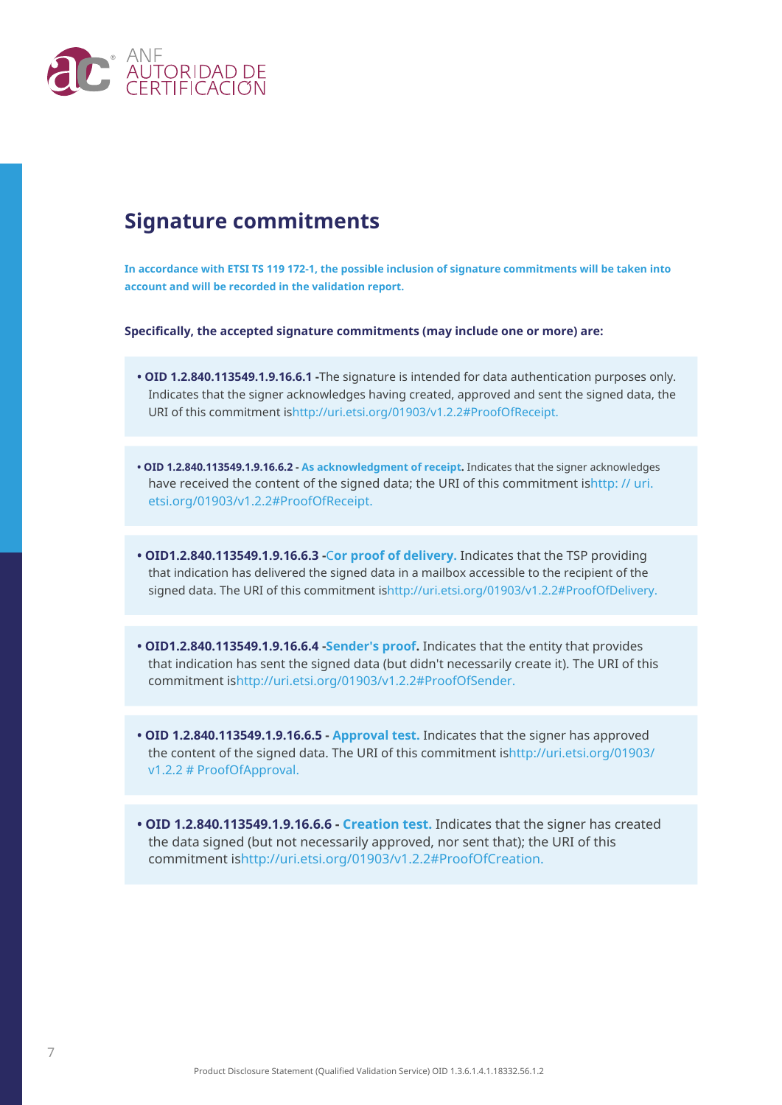

### **Signature commitments**

**In accordance with ETSI TS 119 172-1, the possible inclusion of signature commitments will be taken into account and will be recorded in the validation report.**

**Specifically, the accepted signature commitments (may include one or more) are:**

- **OID 1.2.840.113549.1.9.16.6.1 -**The signature is intended for data authentication purposes only. Indicates that the signer acknowledges having created, approved and sent the signed data, the URI of this commitment ishttp://uri.etsi.org/01903/v1.2.2#ProofOfReceipt.
- **OID 1.2.840.113549.1.9.16.6.2 As acknowledgment of receipt.** Indicates that the signer acknowledges have received the content of the signed data; the URI of this commitment ishttp: // uri. etsi.org/01903/v1.2.2#ProofOfReceipt.
- **OID1.2.840.113549.1.9.16.6.3 -**C**or proof of delivery.** Indicates that the TSP providing that indication has delivered the signed data in a mailbox accessible to the recipient of the signed data. The URI of this commitment ishttp://uri.etsi.org/01903/v1.2.2#ProofOfDelivery.
- **OID1.2.840.113549.1.9.16.6.4 -Sender's proof.** Indicates that the entity that provides that indication has sent the signed data (but didn't necessarily create it). The URI of this commitment ishttp://uri.etsi.org/01903/v1.2.2#ProofOfSender.
- **OID 1.2.840.113549.1.9.16.6.5 Approval test.** Indicates that the signer has approved the content of the signed data. The URI of this commitment ishttp://uri.etsi.org/01903/ v1.2.2 # ProofOfApproval.
- **OID 1.2.840.113549.1.9.16.6.6 Creation test.** Indicates that the signer has created the data signed (but not necessarily approved, nor sent that); the URI of this commitment ishttp://uri.etsi.org/01903/v1.2.2#ProofOfCreation.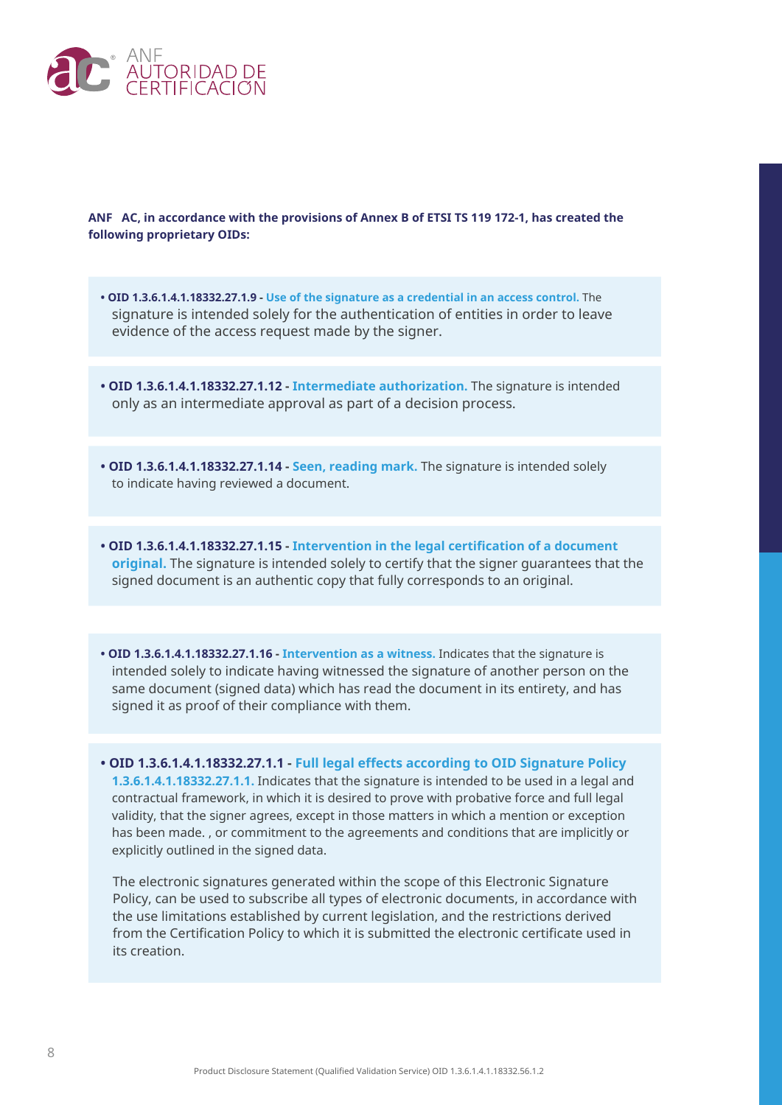

#### **ANF AC, in accordance with the provisions of Annex B of ETSI TS 119 172-1, has created the following proprietary OIDs:**

- **OID 1.3.6.1.4.1.18332.27.1.9 Use of the signature as a credential in an access control.** The signature is intended solely for the authentication of entities in order to leave evidence of the access request made by the signer.
- **OID 1.3.6.1.4.1.18332.27.1.12 Intermediate authorization.** The signature is intended only as an intermediate approval as part of a decision process.
- **OID 1.3.6.1.4.1.18332.27.1.14 Seen, reading mark.** The signature is intended solely to indicate having reviewed a document.
- **OID 1.3.6.1.4.1.18332.27.1.15 Intervention in the legal certification of a document original.** The signature is intended solely to certify that the signer guarantees that the signed document is an authentic copy that fully corresponds to an original.
- **OID 1.3.6.1.4.1.18332.27.1.16 Intervention as a witness.** Indicates that the signature is intended solely to indicate having witnessed the signature of another person on the same document (signed data) which has read the document in its entirety, and has signed it as proof of their compliance with them.

**• OID 1.3.6.1.4.1.18332.27.1.1 - Full legal effects according to OID Signature Policy 1.3.6.1.4.1.18332.27.1.1.** Indicates that the signature is intended to be used in a legal and contractual framework, in which it is desired to prove with probative force and full legal validity, that the signer agrees, except in those matters in which a mention or exception has been made. , or commitment to the agreements and conditions that are implicitly or explicitly outlined in the signed data.

The electronic signatures generated within the scope of this Electronic Signature Policy, can be used to subscribe all types of electronic documents, in accordance with the use limitations established by current legislation, and the restrictions derived from the Certification Policy to which it is submitted the electronic certificate used in its creation.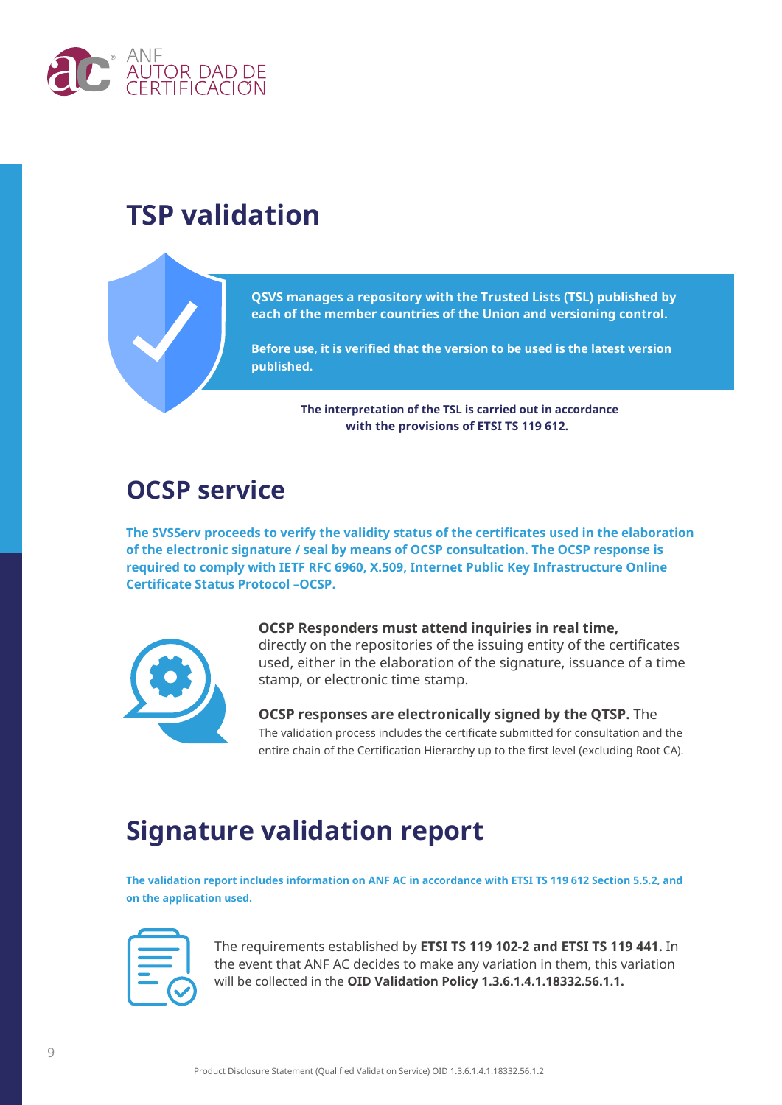

### **TSP validation**

**QSVS manages a repository with the Trusted Lists (TSL) published by each of the member countries of the Union and versioning control.**

**Before use, it is verified that the version to be used is the latest version published.**

> **The interpretation of the TSL is carried out in accordance with the provisions of ETSI TS 119 612.**

### **OCSP service**

**The SVSServ proceeds to verify the validity status of the certificates used in the elaboration of the electronic signature / seal by means of OCSP consultation. The OCSP response is required to comply with IETF RFC 6960, X.509, Internet Public Key Infrastructure Online Certificate Status Protocol –OCSP.**



**OCSP Responders must attend inquiries in real time,** directly on the repositories of the issuing entity of the certificates used, either in the elaboration of the signature, issuance of a time stamp, or electronic time stamp.

**OCSP responses are electronically signed by the QTSP.** The The validation process includes the certificate submitted for consultation and the entire chain of the Certification Hierarchy up to the first level (excluding Root CA).

### **Signature validation report**

**The validation report includes information on ANF AC in accordance with ETSI TS 119 612 Section 5.5.2, and on the application used.**

The requirements established by **ETSI TS 119 102-2 and ETSI TS 119 441.** In the event that ANF AC decides to make any variation in them, this variation will be collected in the **OID Validation Policy 1.3.6.1.4.1.18332.56.1.1.**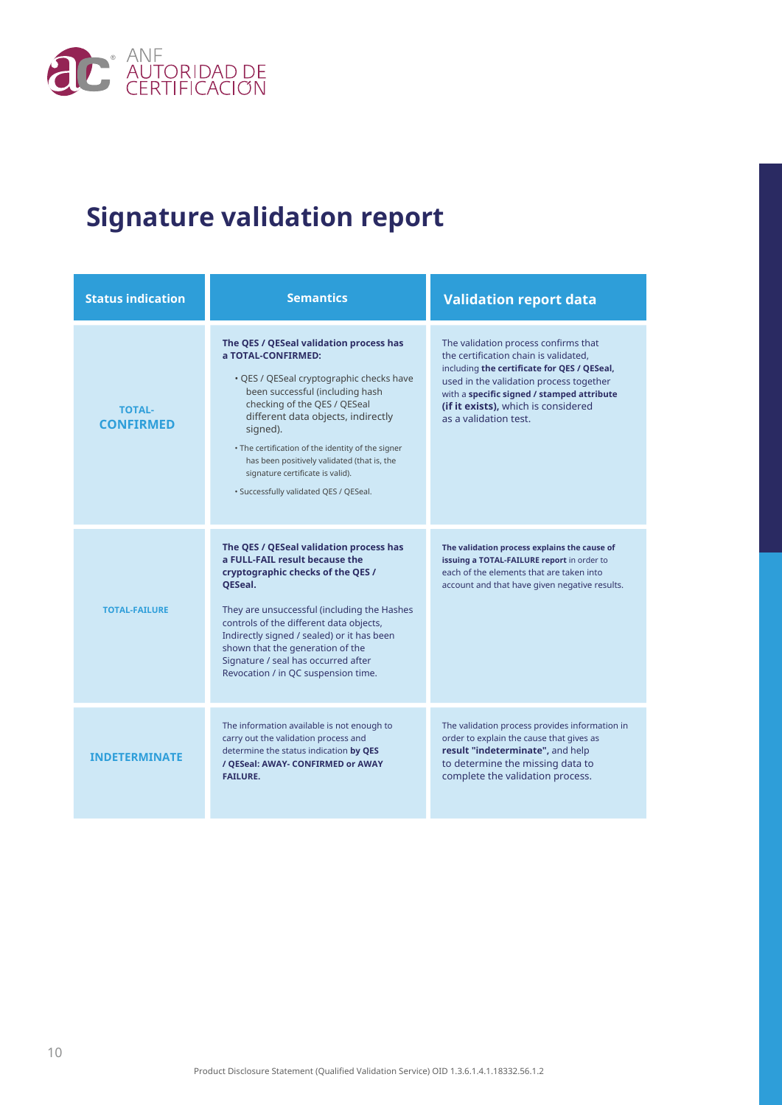

# **Signature validation report**

| <b>Status indication</b>          | <b>Semantics</b>                                                                                                                                                                                                                                                                                                                                                                                                 | <b>Validation report data</b>                                                                                                                                                                                                                                                         |
|-----------------------------------|------------------------------------------------------------------------------------------------------------------------------------------------------------------------------------------------------------------------------------------------------------------------------------------------------------------------------------------------------------------------------------------------------------------|---------------------------------------------------------------------------------------------------------------------------------------------------------------------------------------------------------------------------------------------------------------------------------------|
| <b>TOTAL-</b><br><b>CONFIRMED</b> | The QES / QESeal validation process has<br>a TOTAL-CONFIRMED:<br>• QES / QESeal cryptographic checks have<br>been successful (including hash<br>checking of the QES / QESeal<br>different data objects, indirectly<br>signed).<br>. The certification of the identity of the signer<br>has been positively validated (that is, the<br>signature certificate is valid).<br>· Successfully validated QES / QESeal. | The validation process confirms that<br>the certification chain is validated.<br>including the certificate for QES / QESeal,<br>used in the validation process together<br>with a specific signed / stamped attribute<br>(if it exists), which is considered<br>as a validation test. |
| <b>TOTAL-FAILURE</b>              | The QES / QESeal validation process has<br>a FULL-FAIL result because the<br>cryptographic checks of the QES /<br>QESeal.<br>They are unsuccessful (including the Hashes<br>controls of the different data objects,<br>Indirectly signed / sealed) or it has been<br>shown that the generation of the<br>Signature / seal has occurred after<br>Revocation / in QC suspension time.                              | The validation process explains the cause of<br>issuing a TOTAL-FAILURE report in order to<br>each of the elements that are taken into<br>account and that have given negative results.                                                                                               |
| <b>INDETERMINATE</b>              | The information available is not enough to<br>carry out the validation process and<br>determine the status indication by QES<br>/ QESeal: AWAY- CONFIRMED or AWAY<br><b>FAILURE.</b>                                                                                                                                                                                                                             | The validation process provides information in<br>order to explain the cause that gives as<br>result "indeterminate", and help<br>to determine the missing data to<br>complete the validation process.                                                                                |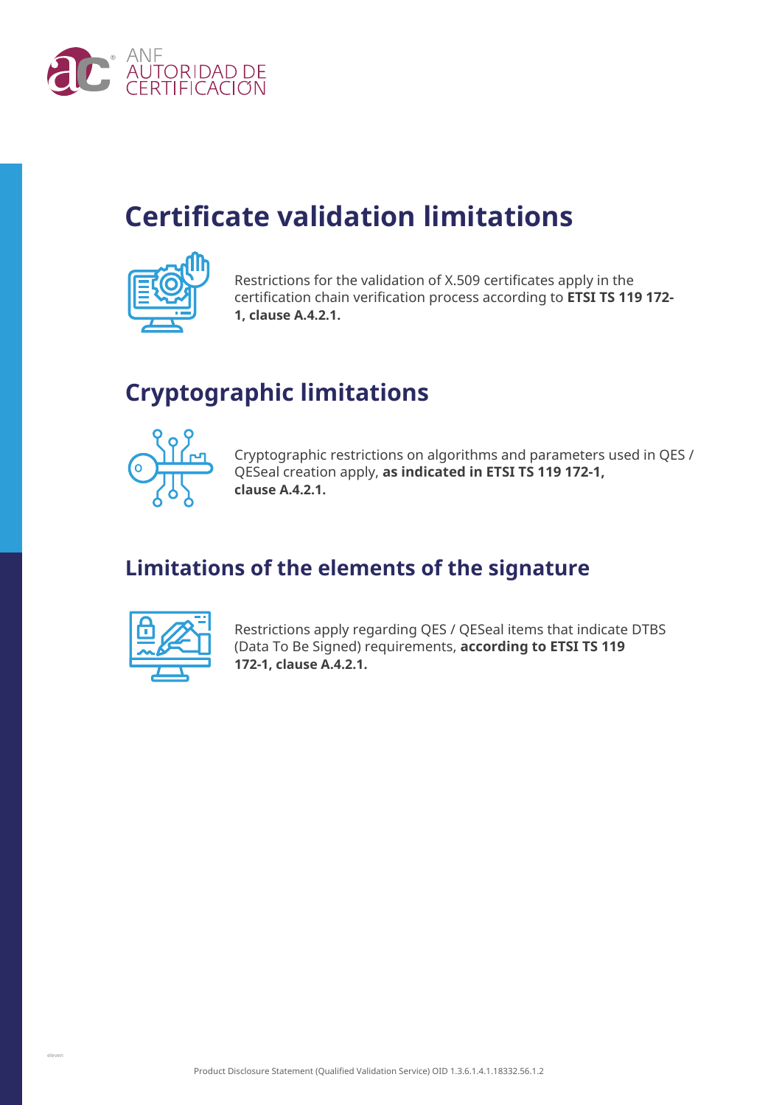

### **Certificate validation limitations**



Restrictions for the validation of X.509 certificates apply in the certification chain verification process according to **ETSI TS 119 172- 1, clause A.4.2.1.**

### **Cryptographic limitations**



Cryptographic restrictions on algorithms and parameters used in QES / QESeal creation apply, **as indicated in ETSI TS 119 172-1, clause A.4.2.1.**

### **Limitations of the elements of the signature**



Restrictions apply regarding QES / QESeal items that indicate DTBS (Data To Be Signed) requirements, **according to ETSI TS 119 172-1, clause A.4.2.1.**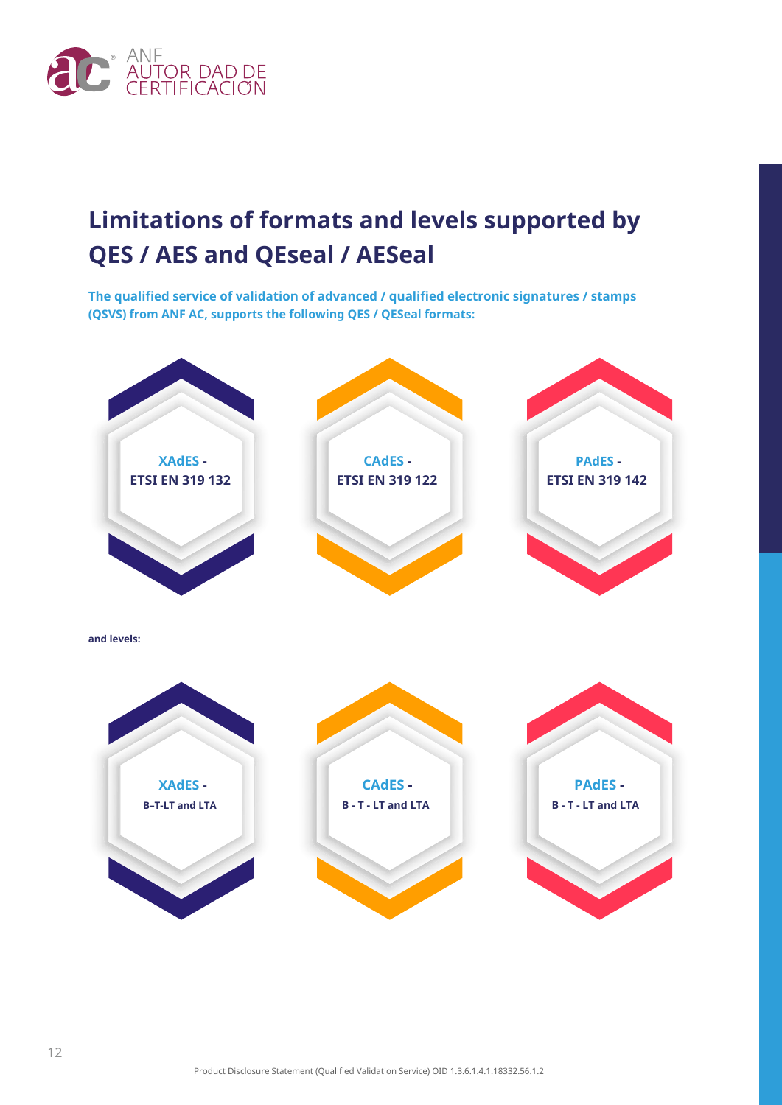

### **Limitations of formats and levels supported by QES / AES and QEseal / AESeal**

**The qualified service of validation of advanced / qualified electronic signatures / stamps (QSVS) from ANF AC, supports the following QES / QESeal formats:**

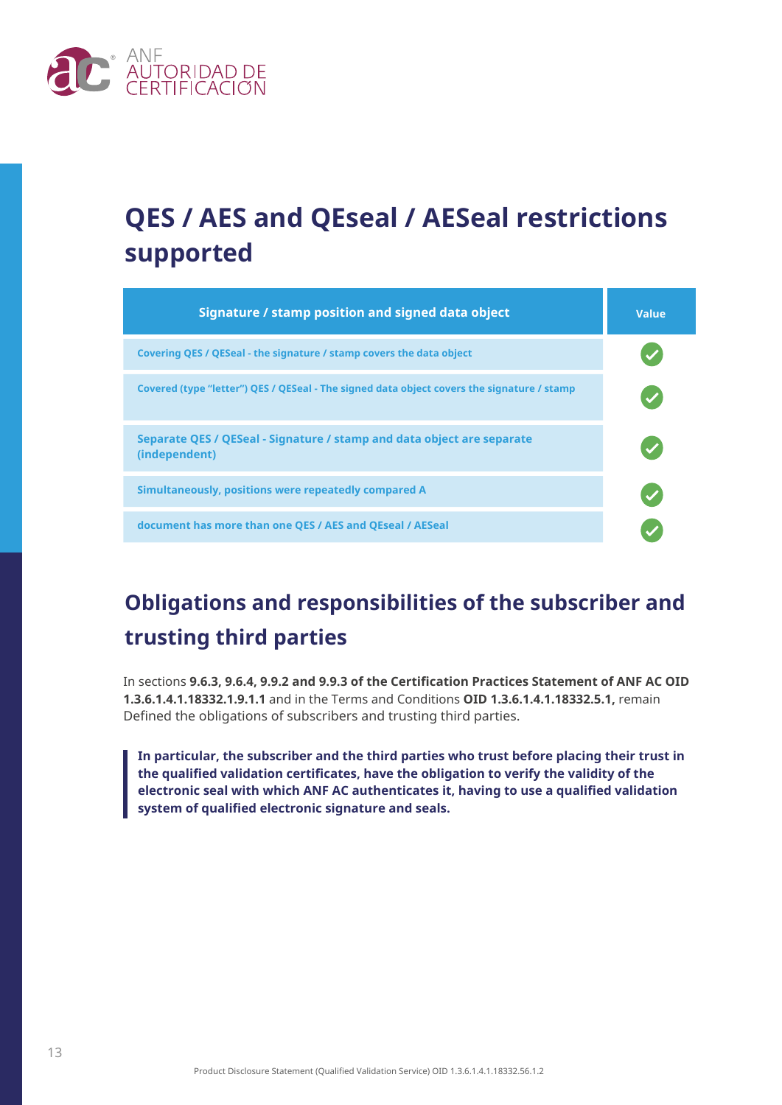![](_page_12_Picture_0.jpeg)

# **QES / AES and QEseal / AESeal restrictions supported**

| Signature / stamp position and signed data object                                          | <b>Value</b> |
|--------------------------------------------------------------------------------------------|--------------|
| Covering QES / QESeal - the signature / stamp covers the data object                       |              |
| Covered (type "letter") QES / QESeal - The signed data object covers the signature / stamp |              |
| Separate QES / QESeal - Signature / stamp and data object are separate<br>(independent)    |              |
| Simultaneously, positions were repeatedly compared A                                       |              |
| document has more than one QES / AES and QEseal / AESeal                                   |              |

### **Obligations and responsibilities of the subscriber and trusting third parties**

In sections **9.6.3, 9.6.4, 9.9.2 and 9.9.3 of the Certification Practices Statement of ANF AC OID 1.3.6.1.4.1.18332.1.9.1.1** and in the Terms and Conditions **OID 1.3.6.1.4.1.18332.5.1,** remain Defined the obligations of subscribers and trusting third parties.

**In particular, the subscriber and the third parties who trust before placing their trust in the qualified validation certificates, have the obligation to verify the validity of the electronic seal with which ANF AC authenticates it, having to use a qualified validation system of qualified electronic signature and seals.**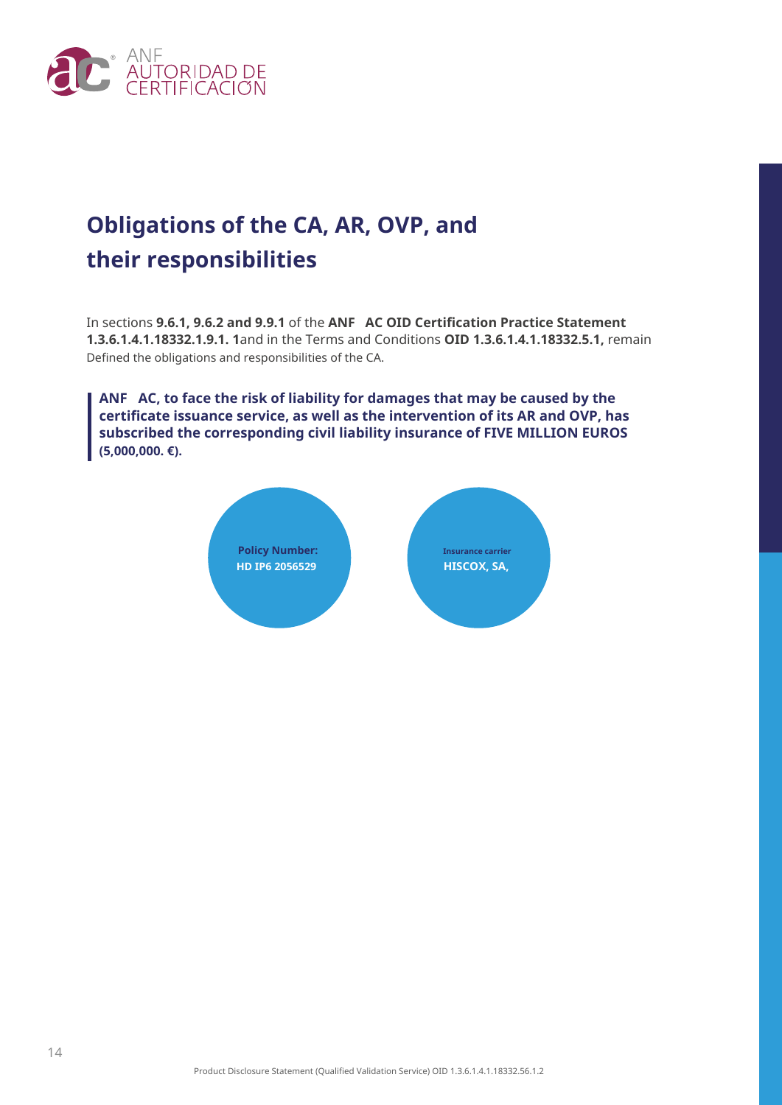![](_page_13_Picture_0.jpeg)

### **Obligations of the CA, AR, OVP, and their responsibilities**

In sections **9.6.1, 9.6.2 and 9.9.1** of the **ANF AC OID Certification Practice Statement 1.3.6.1.4.1.18332.1.9.1. 1**and in the Terms and Conditions **OID 1.3.6.1.4.1.18332.5.1,** remain Defined the obligations and responsibilities of the CA.

**ANF AC, to face the risk of liability for damages that may be caused by the certificate issuance service, as well as the intervention of its AR and OVP, has subscribed the corresponding civil liability insurance of FIVE MILLION EUROS (5,000,000. €).**

![](_page_13_Figure_4.jpeg)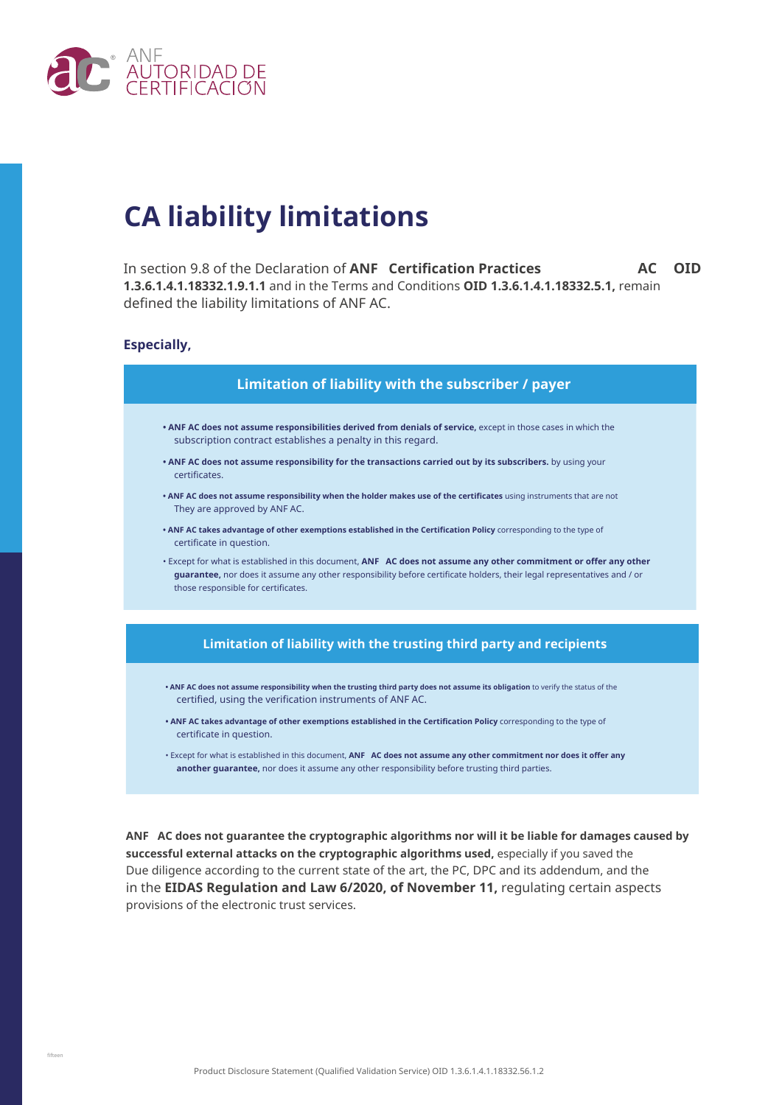![](_page_14_Picture_0.jpeg)

# **CA liability limitations**

In section 9.8 of the Declaration of **ANF Certification Practices** defined the liability limitations of ANF AC. **AC 1.3.6.1.4.1.18332.1.9.1.1** and in the Terms and Conditions **OID 1.3.6.1.4.1.18332.5.1,** remain **OID**

#### **Especially,**

![](_page_14_Figure_4.jpeg)

- **ANF AC does not assume responsibility when the trusting third party does not assume its obligation** to verify the status of the certified, using the verification instruments of ANF AC.
- **ANF AC takes advantage of other exemptions established in the Certification Policy** corresponding to the type of certificate in question.
- Except for what is established in this document, **ANF AC does not assume any other commitment nor does it offer any another guarantee,** nor does it assume any other responsibility before trusting third parties.

**ANF AC does not guarantee the cryptographic algorithms nor will it be liable for damages caused by successful external attacks on the cryptographic algorithms used,** especially if you saved the Due diligence according to the current state of the art, the PC, DPC and its addendum, and the provisions of the electronic trust services. in the **EIDAS Regulation and Law 6/2020, of November 11,** regulating certain aspects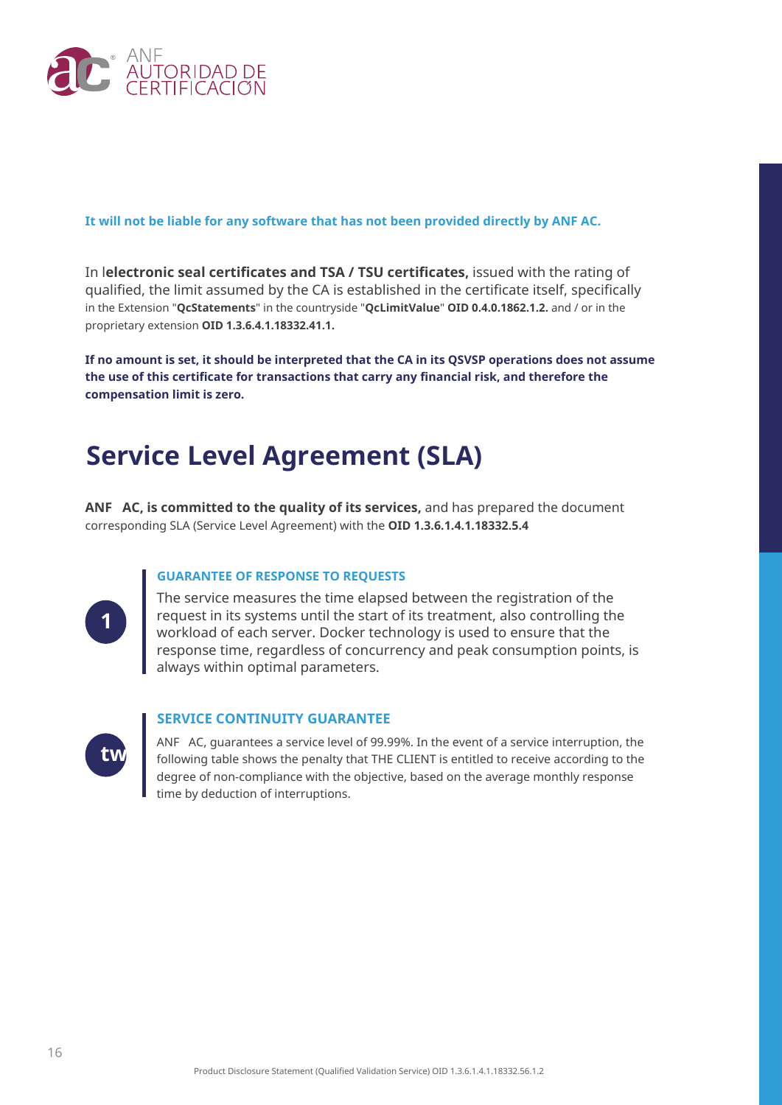![](_page_15_Picture_0.jpeg)

#### **It will not be liable for any software that has not been provided directly by ANF AC.**

In l**electronic seal certificates and TSA / TSU certificates,** issued with the rating of qualified, the limit assumed by the CA is established in the certificate itself, specifically in the Extension "**QcStatements**" in the countryside "**QcLimitValue**" **OID 0.4.0.1862.1.2.** and / or in the proprietary extension **OID 1.3.6.4.1.18332.41.1.**

**If no amount is set, it should be interpreted that the CA in its QSVSP operations does not assume the use of this certificate for transactions that carry any financial risk, and therefore the compensation limit is zero.**

### **Service Level Agreement (SLA)**

**ANF AC, is committed to the quality of its services,** and has prepared the document corresponding SLA (Service Level Agreement) with the **OID 1.3.6.1.4.1.18332.5.4**

#### **GUARANTEE OF RESPONSE TO REQUESTS**

The service measures the time elapsed between the registration of the request in its systems until the start of its treatment, also controlling the workload of each server. Docker technology is used to ensure that the response time, regardless of concurrency and peak consumption points, is always within optimal parameters.

# **two**

**1**

#### **SERVICE CONTINUITY GUARANTEE**

ANF AC, guarantees a service level of 99.99%. In the event of a service interruption, the following table shows the penalty that THE CLIENT is entitled to receive according to the degree of non-compliance with the objective, based on the average monthly response time by deduction of interruptions.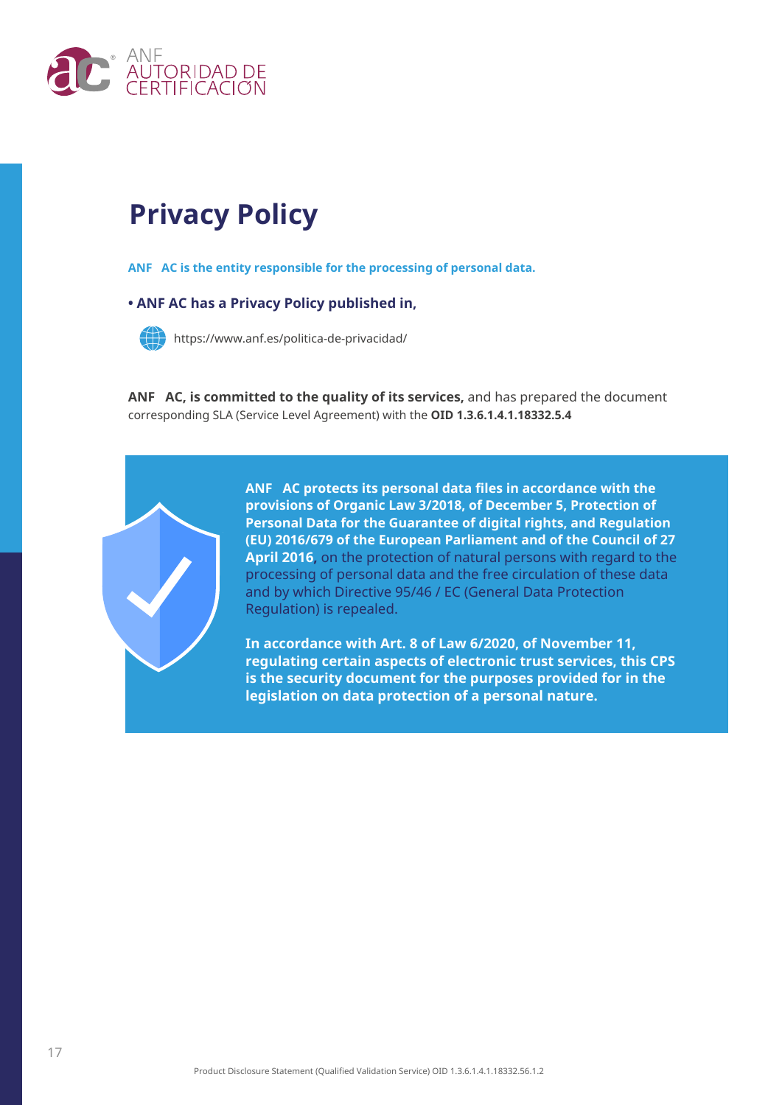![](_page_16_Picture_0.jpeg)

# **Privacy Policy**

**ANF AC is the entity responsible for the processing of personal data.**

**• ANF AC has a Privacy Policy published in,**

![](_page_16_Picture_4.jpeg)

https://www.anf.es/politica-de-privacidad/

**ANF AC, is committed to the quality of its services,** and has prepared the document corresponding SLA (Service Level Agreement) with the **OID 1.3.6.1.4.1.18332.5.4**

![](_page_16_Picture_7.jpeg)

**ANF AC protects its personal data files in accordance with the provisions of Organic Law 3/2018, of December 5, Protection of Personal Data for the Guarantee of digital rights, and Regulation (EU) 2016/679 of the European Parliament and of the Council of 27 April 2016,** on the protection of natural persons with regard to the processing of personal data and the free circulation of these data and by which Directive 95/46 / EC (General Data Protection Regulation) is repealed.

**In accordance with Art. 8 of Law 6/2020, of November 11, regulating certain aspects of electronic trust services, this CPS is the security document for the purposes provided for in the legislation on data protection of a personal nature.**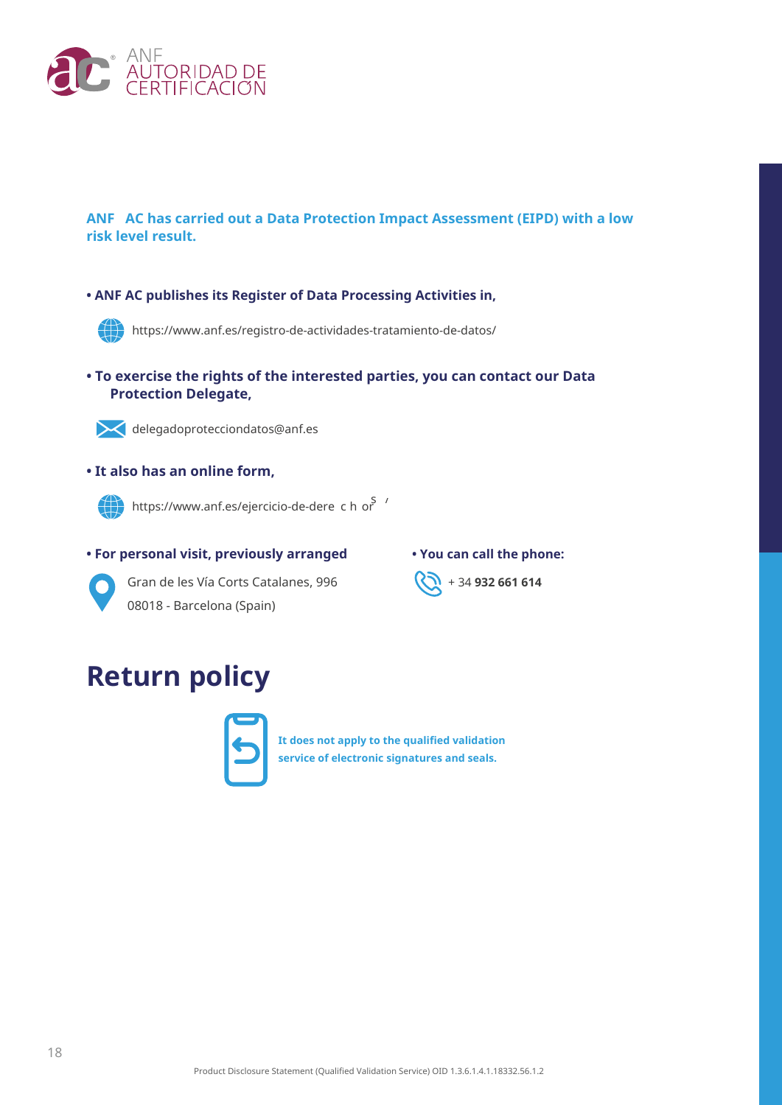![](_page_17_Picture_0.jpeg)

**ANF AC has carried out a Data Protection Impact Assessment (EIPD) with a low risk level result.**

**• ANF AC publishes its Register of Data Processing Activities in,**

![](_page_17_Picture_3.jpeg)

**• To exercise the rights of the interested parties, you can contact our Data Protection Delegate,**

![](_page_17_Picture_5.jpeg)

delegadoprotecciondatos@anf.es

**• It also has an online form,**

![](_page_17_Picture_8.jpeg)

https://www.anf.es/ejercicio-de-dere c h o<sup>S /</sup>

**• For personal visit, previously arranged • You can call the phone:**

![](_page_17_Picture_12.jpeg)

Gran de les Vía Corts Catalanes, 996 **(20 + 34 932 661 614** 08018 - Barcelona (Spain)

# **Return policy**

![](_page_17_Picture_16.jpeg)

**It does not apply to the qualified validation service of electronic signatures and seals.**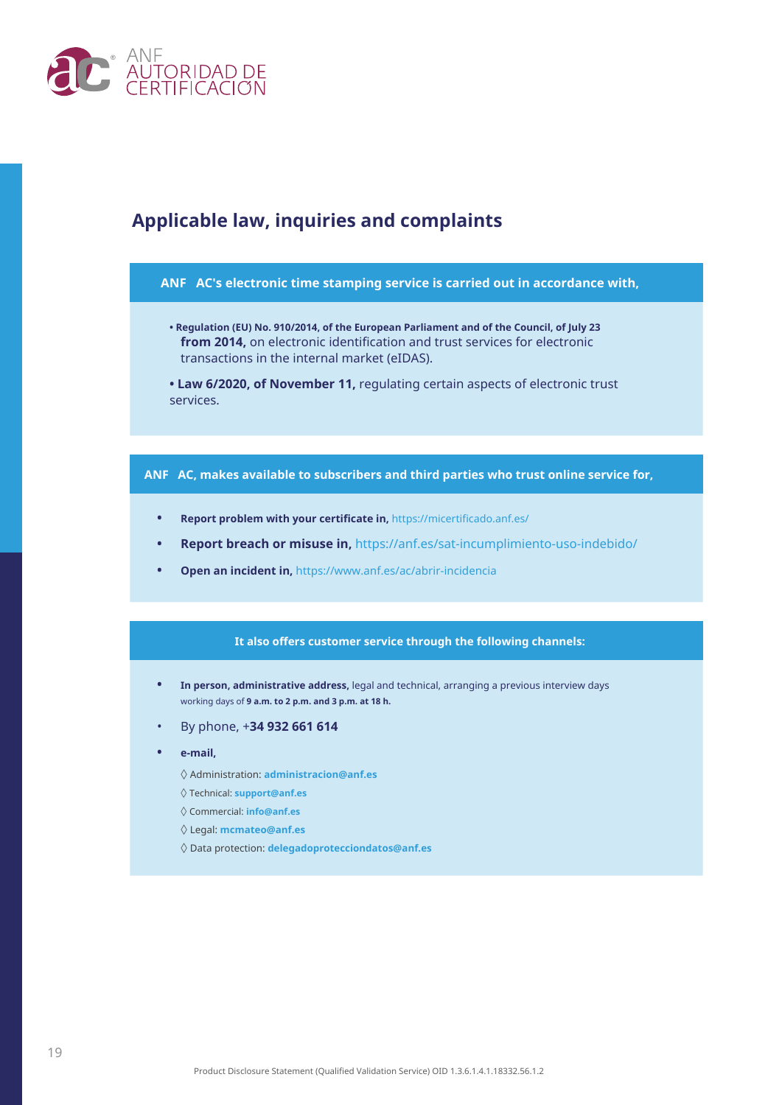![](_page_18_Picture_0.jpeg)

### **Applicable law, inquiries and complaints**

#### **ANF AC's electronic time stamping service is carried out in accordance with,**

- **Regulation (EU) No. 910/2014, of the European Parliament and of the Council, of July 23 from 2014,** on electronic identification and trust services for electronic transactions in the internal market (eIDAS).
- **Law 6/2020, of November 11,** regulating certain aspects of electronic trust services.

#### **ANF AC, makes available to subscribers and third parties who trust online service for,**

- **• Report problem with your certificate in,** https://micertificado.anf.es/
- **• Report breach or misuse in,** https://anf.es/sat-incumplimiento-uso-indebido/
- **• Open an incident in,** https://www.anf.es/ac/abrir-incidencia

#### **It also offers customer service through the following channels:**

- **• In person, administrative address,** legal and technical, arranging a previous interview days working days of **9 a.m. to 2 p.m. and 3 p.m. at 18 h.**
- By phone, +**34 932 661 614**
- **• e-mail,**
	- ◊ Administration: **administracion@anf.es**
	- ◊ Technical: **support@anf.es**
	- ◊ Commercial: **info@anf.es**
	- ◊ Legal: **mcmateo@anf.es**
	- ◊ Data protection: **delegadoprotecciondatos@anf.es**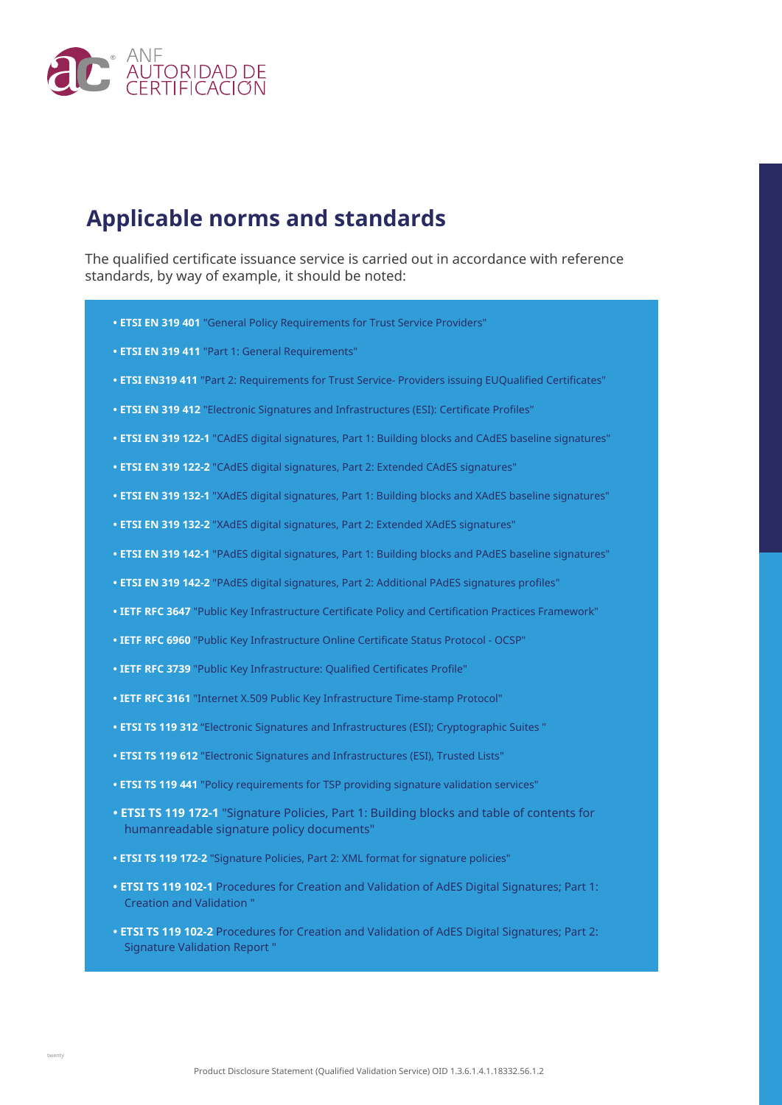![](_page_19_Picture_0.jpeg)

### **Applicable norms and standards**

The qualified certificate issuance service is carried out in accordance with reference standards, by way of example, it should be noted:

- **ETSI EN 319 401** "General Policy Requirements for Trust Service Providers"
- **ETSI EN 319 411** "Part 1: General Requirements"
- **ETSI EN319 411** "Part 2: Requirements for Trust Service- Providers issuing EUQualified Certificates"
- **ETSI EN 319 412** "Electronic Signatures and Infrastructures (ESI): Certificate Profiles"
- **ETSI EN 319 122-1** "CAdES digital signatures, Part 1: Building blocks and CAdES baseline signatures"
- **ETSI EN 319 122-2** "CAdES digital signatures, Part 2: Extended CAdES signatures"
- **ETSI EN 319 132-1** "XAdES digital signatures, Part 1: Building blocks and XAdES baseline signatures"
- **ETSI EN 319 132-2** "XAdES digital signatures, Part 2: Extended XAdES signatures"
- **ETSI EN 319 142-1** "PAdES digital signatures, Part 1: Building blocks and PAdES baseline signatures"
- **ETSI EN 319 142-2** "PAdES digital signatures, Part 2: Additional PAdES signatures profiles"
- **IETF RFC 3647** "Public Key Infrastructure Certificate Policy and Certification Practices Framework"
- **IETF RFC 6960** "Public Key Infrastructure Online Certificate Status Protocol OCSP"
- **IETF RFC 3739** "Public Key Infrastructure: Qualified Certificates Profile"
- **IETF RFC 3161** "Internet X.509 Public Key Infrastructure Time-stamp Protocol"
- **ETSI TS 119 312** "Electronic Signatures and Infrastructures (ESI); Cryptographic Suites "
- **ETSI TS 119 612** "Electronic Signatures and Infrastructures (ESI), Trusted Lists"
- **ETSI TS 119 441** "Policy requirements for TSP providing signature validation services"
- **ETSI TS 119 172-1** "Signature Policies, Part 1: Building blocks and table of contents for humanreadable signature policy documents"
- **ETSI TS 119 172-2** "Signature Policies, Part 2: XML format for signature policies"
- **ETSI TS 119 102-1** Procedures for Creation and Validation of AdES Digital Signatures; Part 1: Creation and Validation "
- **ETSI TS 119 102-2** Procedures for Creation and Validation of AdES Digital Signatures; Part 2: Signature Validation Report "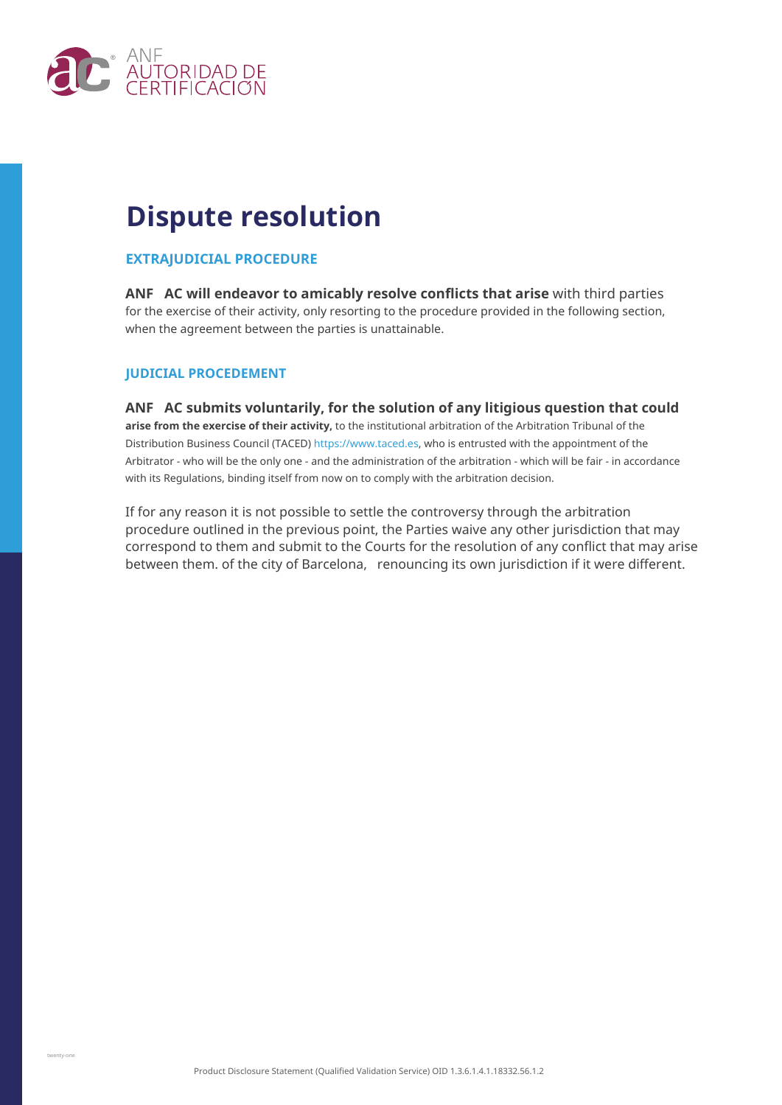![](_page_20_Picture_0.jpeg)

### **Dispute resolution**

#### **EXTRAJUDICIAL PROCEDURE**

**ANF AC will endeavor to amicably resolve conflicts that arise** with third parties for the exercise of their activity, only resorting to the procedure provided in the following section, when the agreement between the parties is unattainable.

#### **JUDICIAL PROCEDEMENT**

**ANF AC submits voluntarily, for the solution of any litigious question that could arise from the exercise of their activity,** to the institutional arbitration of the Arbitration Tribunal of the Distribution Business Council (TACED) https://www.taced.es, who is entrusted with the appointment of the Arbitrator - who will be the only one - and the administration of the arbitration - which will be fair - in accordance with its Regulations, binding itself from now on to comply with the arbitration decision.

If for any reason it is not possible to settle the controversy through the arbitration procedure outlined in the previous point, the Parties waive any other jurisdiction that may correspond to them and submit to the Courts for the resolution of any conflict that may arise between them. of the city of Barcelona, renouncing its own jurisdiction if it were different.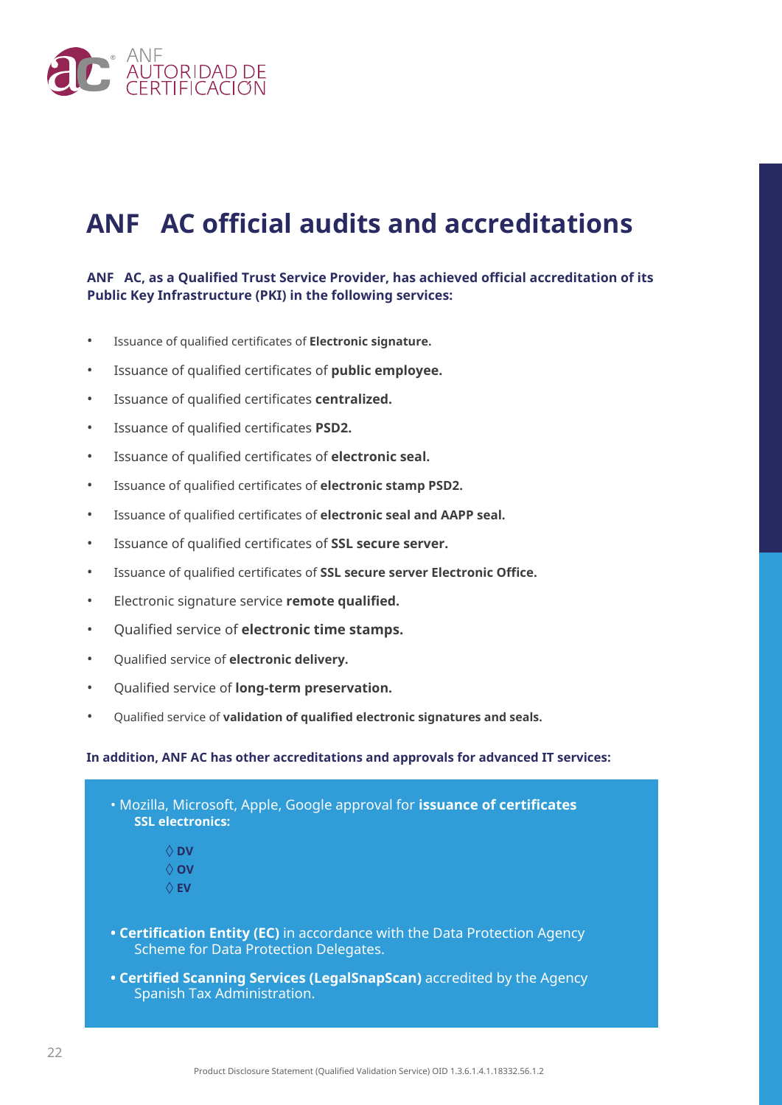![](_page_21_Picture_0.jpeg)

### **ANF AC official audits and accreditations**

#### **ANF AC, as a Qualified Trust Service Provider, has achieved official accreditation of its Public Key Infrastructure (PKI) in the following services:**

- Issuance of qualified certificates of **Electronic signature.**
- Issuance of qualified certificates of **public employee.**
- Issuance of qualified certificates **centralized.**
- Issuance of qualified certificates **PSD2.**
- Issuance of qualified certificates of **electronic seal.**
- Issuance of qualified certificates of **electronic stamp PSD2.**
- Issuance of qualified certificates of **electronic seal and AAPP seal.**
- Issuance of qualified certificates of **SSL secure server.**
- Issuance of qualified certificates of **SSL secure server Electronic Office.**
- Electronic signature service **remote qualified.**
- Qualified service of **electronic time stamps.**
- Qualified service of **electronic delivery.**
- Qualified service of **long-term preservation.**
- Qualified service of **validation of qualified electronic signatures and seals.**

#### **In addition, ANF AC has other accreditations and approvals for advanced IT services:**

| • Mozilla, Microsoft, Apple, Google approval for <b>issuance of certificates</b><br><b>SSL electronics:</b>               |  |
|---------------------------------------------------------------------------------------------------------------------------|--|
| $\Diamond$ DV                                                                                                             |  |
| $\Diamond$ OV                                                                                                             |  |
| $\Diamond$ EV                                                                                                             |  |
| • Certification Entity (EC) in accordance with the Data Protection Agency<br><b>Scheme for Data Protection Delegates.</b> |  |
| • Certified Scanning Services (LegalSnapScan) accredited by the Agency<br>Spanish Tax Administration.                     |  |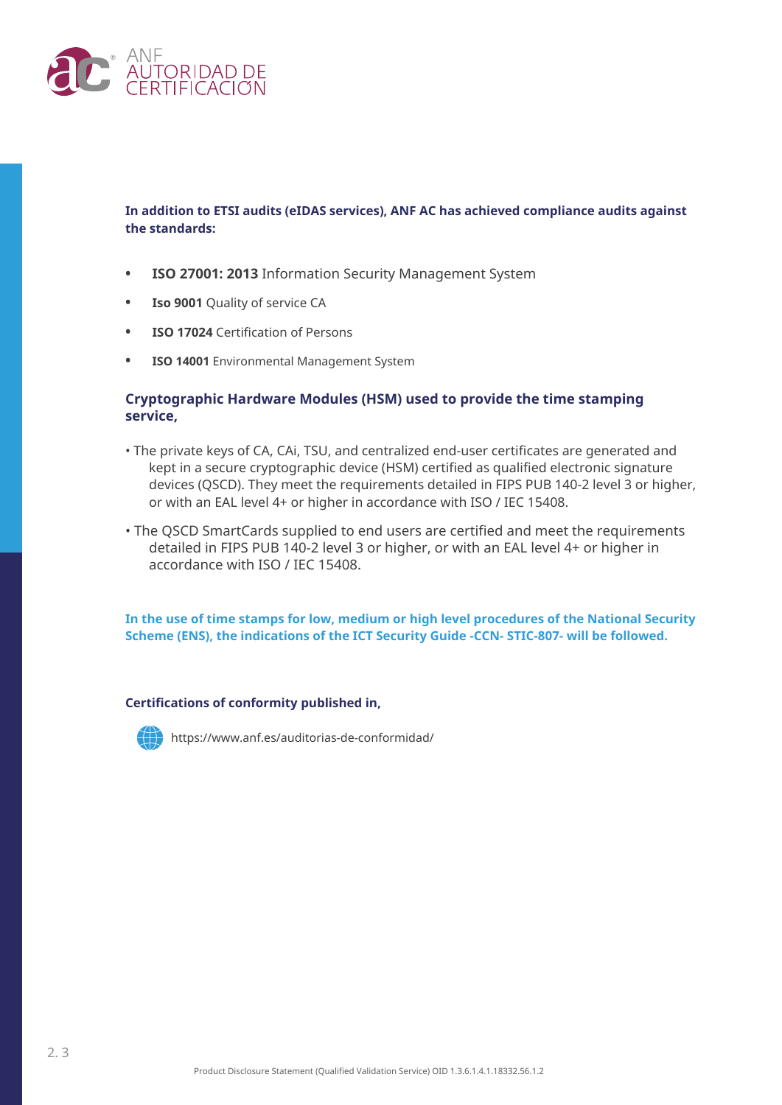![](_page_22_Picture_0.jpeg)

#### **In addition to ETSI audits (eIDAS services), ANF AC has achieved compliance audits against the standards:**

- **• ISO 27001: 2013** Information Security Management System
- **• Iso 9001** Quality of service CA
- **• ISO 17024** Certification of Persons
- **• ISO 14001** Environmental Management System

#### **Cryptographic Hardware Modules (HSM) used to provide the time stamping service,**

- The private keys of CA, CAi, TSU, and centralized end-user certificates are generated and kept in a secure cryptographic device (HSM) certified as qualified electronic signature devices (QSCD). They meet the requirements detailed in FIPS PUB 140-2 level 3 or higher, or with an EAL level 4+ or higher in accordance with ISO / IEC 15408.
- The QSCD SmartCards supplied to end users are certified and meet the requirements detailed in FIPS PUB 140-2 level 3 or higher, or with an EAL level 4+ or higher in accordance with ISO / IEC 15408.

**In the use of time stamps for low, medium or high level procedures of the National Security Scheme (ENS), the indications of the ICT Security Guide -CCN- STIC-807- will be followed.**

#### **Certifications of conformity published in,**

![](_page_22_Picture_11.jpeg)

https://www.anf.es/auditorias-de-conformidad/